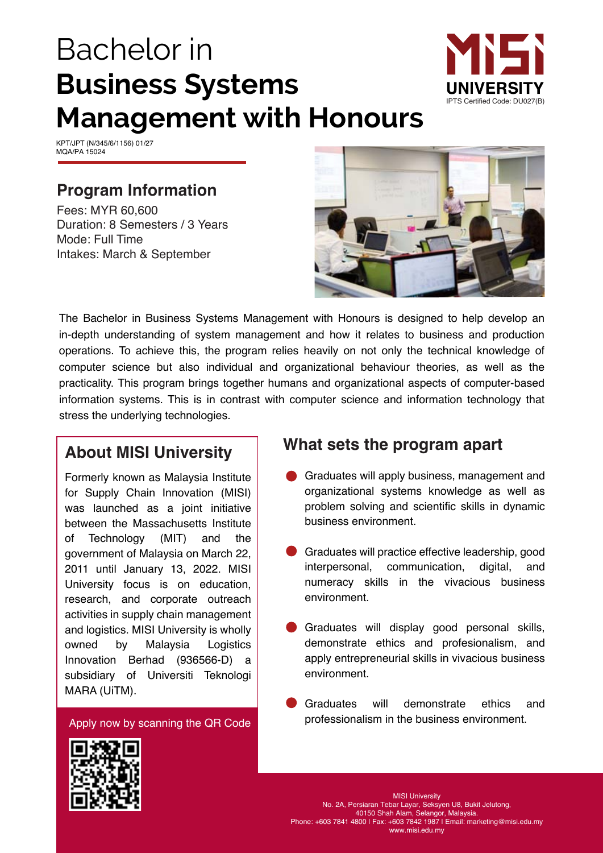# Bachelor in **Business Systems Management with Honours**



KPT/JPT (N/345/6/1156) 01/27 MQA/PA 15024

## **Program Information**

Fees: MYR 60,600 Duration: 8 Semesters / 3 Years Mode: Full Time Intakes: March & September



The Bachelor in Business Systems Management with Honours is designed to help develop an in-depth understanding of system management and how it relates to business and production operations. To achieve this, the program relies heavily on not only the technical knowledge of computer science but also individual and organizational behaviour theories, as well as the practicality. This program brings together humans and organizational aspects of computer-based information systems. This is in contrast with computer science and information technology that stress the underlying technologies.

### **About MISI University**

owned by Malaysia Logistics Innovation Berhad (936566-D) a Formerly known as Malaysia Institute for Supply Chain Innovation (MISI) was launched as a joint initiative between the Massachusetts Institute of Technology (MIT) and the government of Malaysia on March 22, 2011 until January 13, 2022. MISI University focus is on education, research, and corporate outreach activities in supply chain management and logistics. MISI University is wholly subsidiary of Universiti Teknologi MARA (UiTM).

Apply now by scanning the QR Code

### **What sets the program apart**

- Graduates will apply business, management and organizational systems knowledge as well as problem solving and scientific skills in dynamic business environment.
- Graduates will practice effective leadership, good interpersonal, communication, digital, and numeracy skills in the vivacious business environment.
- Graduates will display good personal skills, demonstrate ethics and profesionalism, and apply entrepreneurial skills in vivacious business environment.
- Graduates will demonstrate ethics and professionalism in the business environment.